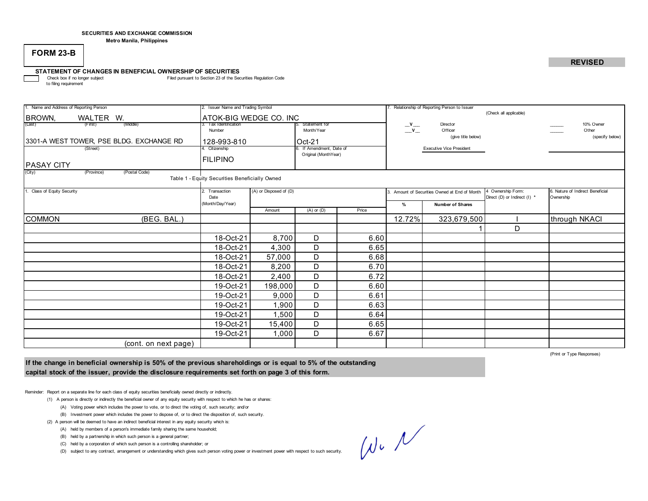#### **SECURITIES AND EXCHANGE COMMISSION**

**Metro Manila, Philippines**

### **FORM 23-B**

#### **STATEMENT OF CHANGES IN BENEFICIAL OWNERSHIP OF SECURITIES**

Check box if no longer subject Filed pursuant to Section 23 of the Securities Regulation Code to filing requirement

| 1. Name and Address of Reporting Person  | 2. Issuer Name and Trading Symbol              |                        |                                                  |      |                          | . Relationship of Reporting Person to Issuer  |                              |                                  |  |  |  |  |
|------------------------------------------|------------------------------------------------|------------------------|--------------------------------------------------|------|--------------------------|-----------------------------------------------|------------------------------|----------------------------------|--|--|--|--|
|                                          |                                                |                        |                                                  |      | (Check all applicable)   |                                               |                              |                                  |  |  |  |  |
| BROWN,<br>WALTER W.                      | ATOK-BIG WEDGE CO. INC                         |                        |                                                  |      |                          |                                               |                              |                                  |  |  |  |  |
| (First)<br>(Middle)<br>(Last)            | I ax Identification<br>Number                  |                        | Statement for<br>Month/Year                      |      | $\frac{-v_{--}}{v_{--}}$ | Director<br>Officer                           |                              | 10% Owner<br>Other               |  |  |  |  |
|                                          |                                                |                        |                                                  |      |                          | (give title below)                            |                              | (specify below)                  |  |  |  |  |
| 3301-A WEST TOWER, PSE BLDG. EXCHANGE RD | 128-993-810                                    |                        | $Oct-21$                                         |      |                          |                                               |                              |                                  |  |  |  |  |
| (Street)                                 | 4. Citizenship<br><b>FILIPINO</b>              |                        | 6. If Amendment, Date of<br>Original (MonthYear) |      |                          | <b>Executive Vice President</b>               |                              |                                  |  |  |  |  |
|                                          |                                                |                        |                                                  |      |                          |                                               |                              |                                  |  |  |  |  |
| <b>PASAY CITY</b>                        |                                                |                        |                                                  |      |                          |                                               |                              |                                  |  |  |  |  |
| (City)<br>(Province)<br>(Postal Code)    | Table 1 - Equity Securities Beneficially Owned |                        |                                                  |      |                          |                                               |                              |                                  |  |  |  |  |
|                                          |                                                |                        |                                                  |      |                          |                                               |                              |                                  |  |  |  |  |
| Class of Equity Security                 | 2. Transaction                                 | (A) or Disposed of (D) |                                                  |      |                          | 3. Amount of Securities Owned at End of Month | 4 Ownership Form:            | 6. Nature of Indirect Beneficial |  |  |  |  |
|                                          | Date                                           |                        |                                                  |      |                          |                                               | Direct (D) or Indirect (I) * | Ownership                        |  |  |  |  |
|                                          | (Month/Day/Year)                               | Amount                 | Price<br>$(A)$ or $(D)$                          |      | %                        | <b>Number of Shares</b>                       |                              |                                  |  |  |  |  |
| <b>COMMON</b><br>(BEG. BAL.)             |                                                |                        |                                                  |      | 12.72%                   | 323,679,500                                   |                              | through NKACI                    |  |  |  |  |
|                                          |                                                |                        |                                                  |      |                          |                                               | D                            |                                  |  |  |  |  |
|                                          | 18-Oct-21                                      | 8,700                  | D                                                | 6.60 |                          |                                               |                              |                                  |  |  |  |  |
|                                          | 18-Oct-21                                      | 4,300                  | D                                                | 6.65 |                          |                                               |                              |                                  |  |  |  |  |
|                                          | 18-Oct-21                                      | 57,000                 | D                                                | 6.68 |                          |                                               |                              |                                  |  |  |  |  |
|                                          |                                                |                        |                                                  |      |                          |                                               |                              |                                  |  |  |  |  |
|                                          | 18-Oct-21                                      | 8,200                  | D                                                | 6.70 |                          |                                               |                              |                                  |  |  |  |  |
|                                          | 18-Oct-21                                      | 2,400                  | D                                                | 6.72 |                          |                                               |                              |                                  |  |  |  |  |
|                                          | 19-Oct-21                                      | 198,000                | D                                                | 6.60 |                          |                                               |                              |                                  |  |  |  |  |
|                                          | 19-Oct-21                                      | 9,000                  | D                                                | 6.61 |                          |                                               |                              |                                  |  |  |  |  |
|                                          | 19-Oct-21                                      | 1,900                  | D                                                | 6.63 |                          |                                               |                              |                                  |  |  |  |  |
|                                          | 19-Oct-21                                      | ,500                   | D                                                | 6.64 |                          |                                               |                              |                                  |  |  |  |  |
|                                          | 19-Oct-21                                      | 15,400                 | D                                                | 6.65 |                          |                                               |                              |                                  |  |  |  |  |
|                                          | 19-Oct-21                                      | 1,000                  | D                                                | 6.67 |                          |                                               |                              |                                  |  |  |  |  |
| (cont. on next page)                     |                                                |                        |                                                  |      |                          |                                               |                              |                                  |  |  |  |  |

(Print or Type Responses)

**If the change in beneficial ownership is 50% of the previous shareholdings or is equal to 5% of the outstanding capital stock of the issuer, provide the disclosure requirements set forth on page 3 of this form.**

Reminder: Report on a separate line for each class of equity securities beneficially owned directly or indirectly.

- (1) A person is directly or indirectly the beneficial owner of any equity security with respect to which he has or shares:
	- (A) Voting power which includes the power to vote, or to direct the voting of, such security; and/or
	- (B) Investment power which includes the power to dispose of, or to direct the disposition of, such security.

(2) A person will be deemed to have an indirect beneficial interest in any equity security which is:

- (A) held by members of a person's immediate family sharing the same household;
- (B) held by a partnership in which such person is a general partner;
- (C) held by a corporation of which such person is a controlling shareholder; or

(D) subject to any contract, arrangement or understanding which gives such person voting power or investment power with respect to such security.

 $W \cdot M$ 

**REVISED**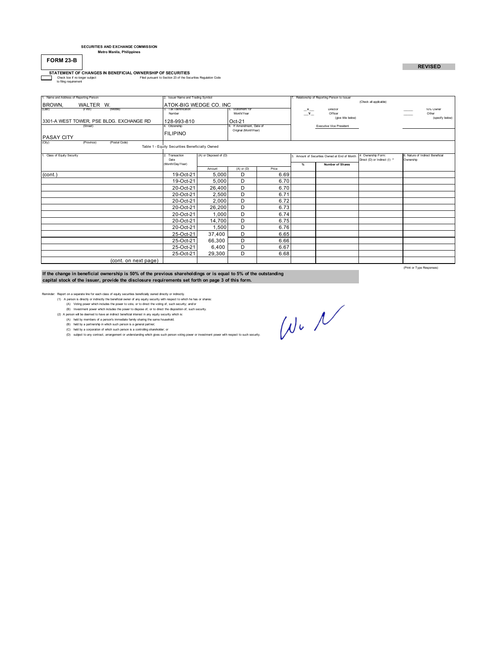### **SECURITIES AND EXCHANGE COMMISSION Metro Manila, Philippines**

**FORM 23-B**

# **STATEMENT OF CHANGES IN BENEFICIAL OWNERSHIP OF SECURITIES**<br>Check box: if no longer subject Filed pursuant to Section 23 of the Securities Regulation Code<br>to filing requirement

| Name and Address of Reporting Person                       | 2. Issuer Name and Trading Symbol              |                             |                                      |                      |                        | 7. Relationship of Reporting Person to Issuer |                              |                                  |  |  |  |  |
|------------------------------------------------------------|------------------------------------------------|-----------------------------|--------------------------------------|----------------------|------------------------|-----------------------------------------------|------------------------------|----------------------------------|--|--|--|--|
|                                                            |                                                |                             |                                      |                      | (Check all applicable) |                                               |                              |                                  |  |  |  |  |
| BROWN.<br>WALTER W.                                        | ATOK-BIG WEDGE CO. INC                         |                             |                                      |                      |                        |                                               |                              |                                  |  |  |  |  |
| (Last)<br>(Middle)<br>(Frst)                               | <b>Lax Identification</b><br>Number            | Statement for<br>Month/Year |                                      | $-1$<br>$\mathbf{v}$ | Director<br>Officer    |                                               | 10% Owner<br>Other           |                                  |  |  |  |  |
|                                                            |                                                |                             |                                      |                      |                        | (give title below)                            |                              | (specify below)                  |  |  |  |  |
| 3301-A WEST TOWER, PSE BLDG. EXCHANGE RD                   | 128-993-810<br>Citizenship                     |                             | $Oct-21$<br>6. If Amendment, Date of |                      |                        |                                               |                              |                                  |  |  |  |  |
| (Street)                                                   |                                                |                             | Original (MonthYear)                 |                      |                        | <b>Executive Vice President</b>               |                              |                                  |  |  |  |  |
|                                                            | <b>FILIPINO</b>                                |                             |                                      |                      |                        |                                               |                              |                                  |  |  |  |  |
| <b>PASAY CITY</b><br>(City)<br>(Province)<br>(Postal Code) |                                                |                             |                                      |                      |                        |                                               |                              |                                  |  |  |  |  |
|                                                            | Table 1 - Equity Securities Beneficially Owned |                             |                                      |                      |                        |                                               |                              |                                  |  |  |  |  |
| Class of Equity Security                                   | 2. Transaction                                 | (A) or Disposed of (D)      |                                      |                      |                        | 3. Amount of Securities Owned at End of Month | 4 Ownership Form:            | 6. Nature of Indirect Beneficial |  |  |  |  |
|                                                            | Date                                           |                             |                                      |                      |                        |                                               | Direct (D) or Indirect (I) * | Ownership                        |  |  |  |  |
|                                                            | (Month/Day/Year)                               |                             |                                      |                      | %                      | Number of Shares                              |                              |                                  |  |  |  |  |
|                                                            |                                                | Amount                      | $(A)$ or $(D)$                       | Price                |                        |                                               |                              |                                  |  |  |  |  |
| (cont.)                                                    | 19-Oct-21                                      | 5,000                       | D                                    | 6.69                 |                        |                                               |                              |                                  |  |  |  |  |
|                                                            | 19-Oct-21                                      | 5,000                       | D                                    | 6.70                 |                        |                                               |                              |                                  |  |  |  |  |
|                                                            | 20-Oct-21                                      | 26,400                      | D                                    | 6.70                 |                        |                                               |                              |                                  |  |  |  |  |
|                                                            | 20-Oct-21                                      | 2,500                       | D                                    | 6.71                 |                        |                                               |                              |                                  |  |  |  |  |
|                                                            | 20-Oct-21                                      | 2,000                       | D                                    | 6.72                 |                        |                                               |                              |                                  |  |  |  |  |
|                                                            | 20-Oct-21                                      | 26,200                      | D                                    | 6.73                 |                        |                                               |                              |                                  |  |  |  |  |
|                                                            | 20-Oct-21                                      | 1,000                       | D                                    | 6.74                 |                        |                                               |                              |                                  |  |  |  |  |
|                                                            | 20-Oct-21                                      | 14,700                      | D                                    | 6.75                 |                        |                                               |                              |                                  |  |  |  |  |
|                                                            | 20-Oct-21                                      | 1,500                       | D                                    | 6.76                 |                        |                                               |                              |                                  |  |  |  |  |
|                                                            | 25-Oct-21                                      | 37,400                      | D                                    | 6.65                 |                        |                                               |                              |                                  |  |  |  |  |
|                                                            | 25-Oct-21                                      | 66,300                      | D                                    | 6.66                 |                        |                                               |                              |                                  |  |  |  |  |
|                                                            | 25-Oct-21                                      | 6,400                       | D                                    | 6.67                 |                        |                                               |                              |                                  |  |  |  |  |
|                                                            | 25-Oct-21                                      | 29,300                      | D                                    | 6.68                 |                        |                                               |                              |                                  |  |  |  |  |
| (cont. on next page)                                       |                                                |                             |                                      |                      |                        |                                               |                              |                                  |  |  |  |  |

**If the change in beneficial ownership is 50% of the previous shareholdings or is equal to 5% of the outstanding capital stock of the issuer, provide the disclosure requirements set forth on page 3 of this form.**

- -

Naminder. Report on a separate line for each class of equity securities beneficially owned directly or indirectly.<br>
(1) A person is directly or indirectly the beneficial owner of any equity escurity with respect to which h

 $\omega \sim 1$ 

(Print or Type Responses)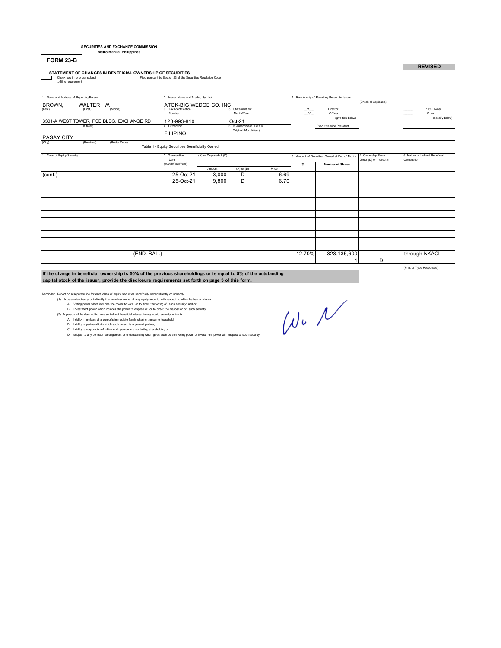### **SECURITIES AND EXCHANGE COMMISSION Metro Manila, Philippines**

**FORM 23-B**

**STATEMENT OF CHANGES IN BENEFICIAL OWNERSHIP OF SECURITIES**<br>Check box: if no longer subject Filed pursuant to Section 23 of the Securities Regulation Code<br>to filing requirement

| 1. Name and Address of Reporting Person  | 2. Issuer Name and Trading Symbol              |                 |                          |                      | 7. Relationship of Reporting Person to Issuer |                                               |                              |                                  |  |  |  |
|------------------------------------------|------------------------------------------------|-----------------|--------------------------|----------------------|-----------------------------------------------|-----------------------------------------------|------------------------------|----------------------------------|--|--|--|
| BROWN,<br>WALTER W.                      | ATOK-BIG WEDGE CO. INC                         |                 |                          |                      |                                               |                                               | (Check all applicable)       |                                  |  |  |  |
| (Last)<br>(First)<br>(Middle)            | . I ax identification                          |                 | Statement for            |                      | $\frac{-v_{--}}{-v_{--}}$                     | Director                                      |                              | 10% Owner                        |  |  |  |
|                                          | Number                                         |                 | Month/Year               |                      |                                               | Officer                                       |                              | Other                            |  |  |  |
| 3301-A WEST TOWER, PSE BLDG. EXCHANGE RD | 128-993-810                                    |                 | Oct-21                   |                      |                                               | (give title below)                            |                              | (specify below)                  |  |  |  |
| (Street)                                 | Citizenship                                    |                 | 6. If Amendment, Date of |                      |                                               | <b>Executive Vice President</b>               |                              |                                  |  |  |  |
|                                          |                                                | <b>FILIPINO</b> |                          | Original (MonthYear) |                                               |                                               |                              |                                  |  |  |  |
| <b>PASAY CITY</b>                        |                                                |                 |                          |                      |                                               |                                               |                              |                                  |  |  |  |
| (City)<br>(Postal Code)<br>(Province)    |                                                |                 |                          |                      |                                               |                                               |                              |                                  |  |  |  |
|                                          | Table 1 - Equity Securities Beneficially Owned |                 |                          |                      |                                               |                                               |                              |                                  |  |  |  |
| Class of Equity Security                 | (A) or Disposed of (D)<br>Transaction          |                 |                          |                      |                                               | 3. Amount of Securities Owned at End of Month | 4 Ownership Form:            | 6. Nature of Indirect Beneficial |  |  |  |
|                                          | Date<br>(Month/Day/Year)                       |                 |                          |                      | $\%$                                          |                                               | Direct (D) or Indirect (I) * | Ownership                        |  |  |  |
|                                          |                                                | Amount          | $(A)$ or $(D)$           | Price                |                                               | Number of Shares                              |                              |                                  |  |  |  |
| (cont.)                                  | 25-Oct-21                                      | 3,000           | D                        | 6.69                 |                                               |                                               |                              |                                  |  |  |  |
|                                          | 25-Oct-21                                      | 9,800           | D                        | 6.70                 |                                               |                                               |                              |                                  |  |  |  |
|                                          |                                                |                 |                          |                      |                                               |                                               |                              |                                  |  |  |  |
|                                          |                                                |                 |                          |                      |                                               |                                               |                              |                                  |  |  |  |
|                                          |                                                |                 |                          |                      |                                               |                                               |                              |                                  |  |  |  |
|                                          |                                                |                 |                          |                      |                                               |                                               |                              |                                  |  |  |  |
|                                          |                                                |                 |                          |                      |                                               |                                               |                              |                                  |  |  |  |
|                                          |                                                |                 |                          |                      |                                               |                                               |                              |                                  |  |  |  |
|                                          |                                                |                 |                          |                      |                                               |                                               |                              |                                  |  |  |  |
|                                          |                                                |                 |                          |                      |                                               |                                               |                              |                                  |  |  |  |
|                                          |                                                |                 |                          |                      |                                               |                                               |                              |                                  |  |  |  |
|                                          |                                                |                 |                          |                      |                                               |                                               |                              |                                  |  |  |  |
| (END. BAL.)                              |                                                |                 |                          |                      | 12.70%                                        | 323,135,600                                   |                              | through NKACI                    |  |  |  |
|                                          |                                                |                 |                          |                      |                                               |                                               | D                            |                                  |  |  |  |

**If the change in beneficial ownership is 50% of the previous shareholdings or is equal to 5% of the outstanding capital stock of the issuer, provide the disclosure requirements set forth on page 3 of this form.**

- -
	-
	-
	-
- Naminder. Report on a separate line for each class of equity securities beneficially owned directly or indirectly.<br>
(1) A person is directly or indirectly the beneficial owner of any equity escurity with respect to which h

 $W \cdot N$ 



(Print or Type Responses)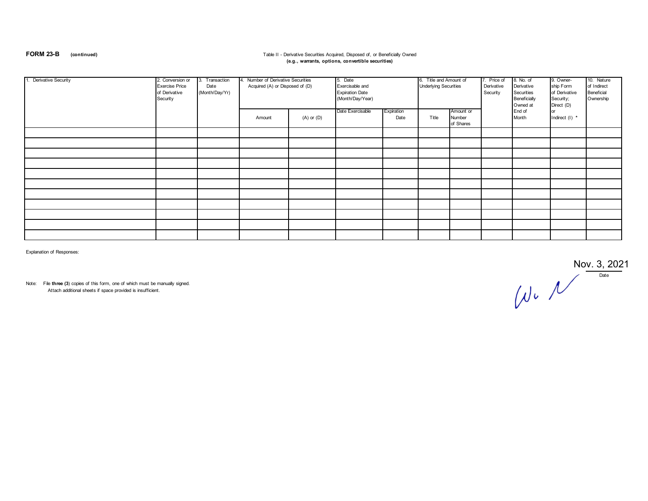### **FORM 23-B** (continued) **Table II - Derivative Securities Acquired, Disposed of, or Beneficially Owned (e.g., warrants, options, convertible securities)**

| Derivative Security | 2. Conversion or<br><b>Exercise Price</b><br>of Derivative<br>Security | Transaction<br>3.<br>Date<br>(Month/Day/Yr) | 4. Number of Derivative Securities<br>Acquired (A) or Disposed of (D) |                | 5. Date<br>Exercisable and<br><b>Expiration Date</b><br>(Month/Day/Year)<br>Expiration<br>Date Exercisable |      | 6. Title and Amount of<br><b>Underlying Securities</b><br>Amount or |                     | 7. Price of<br>Derivative<br>Security | 8. No. of<br>Derivative<br>Securities<br>Beneficially<br>Owned at<br>End of | 9. Owner-<br>ship Form<br>of Derivative<br>Security;<br>Direct (D)<br>or | 10. Nature<br>of Indirect<br>Beneficial<br>Ownership |
|---------------------|------------------------------------------------------------------------|---------------------------------------------|-----------------------------------------------------------------------|----------------|------------------------------------------------------------------------------------------------------------|------|---------------------------------------------------------------------|---------------------|---------------------------------------|-----------------------------------------------------------------------------|--------------------------------------------------------------------------|------------------------------------------------------|
|                     |                                                                        |                                             | Amount                                                                | $(A)$ or $(D)$ |                                                                                                            | Date | Title                                                               | Number<br>of Shares |                                       | Month                                                                       | Indirect (I) *                                                           |                                                      |
|                     |                                                                        |                                             |                                                                       |                |                                                                                                            |      |                                                                     |                     |                                       |                                                                             |                                                                          |                                                      |
|                     |                                                                        |                                             |                                                                       |                |                                                                                                            |      |                                                                     |                     |                                       |                                                                             |                                                                          |                                                      |
|                     |                                                                        |                                             |                                                                       |                |                                                                                                            |      |                                                                     |                     |                                       |                                                                             |                                                                          |                                                      |
|                     |                                                                        |                                             |                                                                       |                |                                                                                                            |      |                                                                     |                     |                                       |                                                                             |                                                                          |                                                      |
|                     |                                                                        |                                             |                                                                       |                |                                                                                                            |      |                                                                     |                     |                                       |                                                                             |                                                                          |                                                      |
|                     |                                                                        |                                             |                                                                       |                |                                                                                                            |      |                                                                     |                     |                                       |                                                                             |                                                                          |                                                      |
|                     |                                                                        |                                             |                                                                       |                |                                                                                                            |      |                                                                     |                     |                                       |                                                                             |                                                                          |                                                      |
|                     |                                                                        |                                             |                                                                       |                |                                                                                                            |      |                                                                     |                     |                                       |                                                                             |                                                                          |                                                      |
|                     |                                                                        |                                             |                                                                       |                |                                                                                                            |      |                                                                     |                     |                                       |                                                                             |                                                                          |                                                      |
|                     |                                                                        |                                             |                                                                       |                |                                                                                                            |      |                                                                     |                     |                                       |                                                                             |                                                                          |                                                      |
|                     |                                                                        |                                             |                                                                       |                |                                                                                                            |      |                                                                     |                     |                                       |                                                                             |                                                                          |                                                      |

Explanation of Responses:

Note: File **three (3**) copies of this form, one of which must be manually signed. Attach additional sheets if space provided is insufficient.

Date Nov. 3, 2021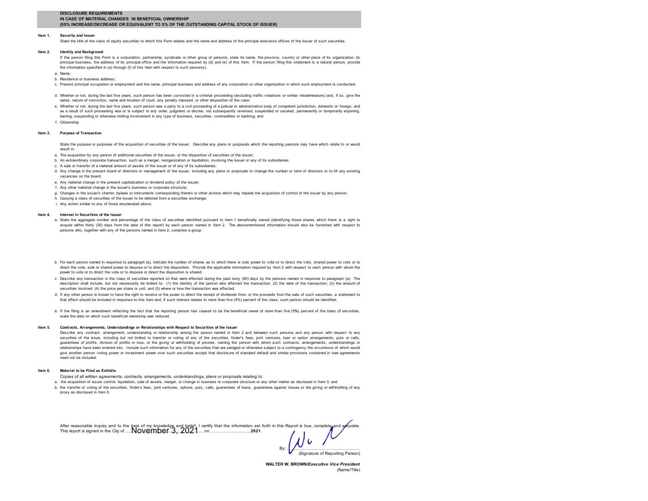#### **Item 1. Security and Issuer**

State the title of the class of equity securities to which this Form relates and the name and address of the principal executive offices of the issuer of such securities.

#### **Item 2. Identity and Background**

If the person filing this Form is a corporation, partnership, syndicate or other group of persons, state its name, the province, country or other place of its organization, its principal business, the address of its principal office and the information required by (d) and (e) of this Item. If the person filing this statement is a natural person, provide the information specified in (a) through (f) of this Item with respect to such person(s).

- a. Name;
- b. Residence or business address;

c. Present principal occupation or employment and the name, principal business and address of any corporation or other organization in which such employment is conducted;

d. Whether or not, during the last five years, such person has been convicted in a criminal proceeding (excluding traffic violations or similar misdemeanors) and, if so, give the dates, nature of conviction, name and location of court, any penalty imposed, or other disposition of the case;

- e. Whether or not, during the last five years, such person was a party to a civil proceeding of a judicial or administrative body of competent jurisdiction, domestic or foreign, and as a result of such proceeding was or is subject to any order, judgment or decree, not subsequently reversed, suspended or vacated, permanently or temporarily enjoining, barring, suspending or otherwise limiting involvement in any type of business, securities, commodities or banking; and
- f. Citizenship.

#### **Item 3. Purpose of Transaction**

State the purpose or purposes of the acquisition of securities of the issuer. Describe any plans or proposals which the reporting persons may have which relate to or would result in:

- a. The acquisition by any person of additional securities of the issuer, or the disposition of securities of the issuer;
- b. An extraordinary corporate transaction, such as a merger, reorganization or liquidation, involving the issuer or any of its subsidiaries;
- c. A sale or transfer of a material amount of assets of the issuer or of any of its subsidiaries;
- d. Any change in the present board of directors or management of the issuer, including any plans or proposals to change the number or term of directors or to fill any existing vacancies on the board;
- e. Any material change in the present capitalization or dividend policy of the issuer;
- f. Any other material change in the issuer's business or corporate structure;
- g. Changes in the issuer's charter, bylaws or instruments corresponding thereto or other actions which may impede the acquisition of control of the issuer by any person
- h. Causing a class of securities of the issuer to be delisted from a securities exchange;
- i. Any action similar to any of those enumerated above.

#### **Item 4. Interest in Securities of the Issuer**

- a. State the aggregate number and percentage of the class of securities identified pursuant to Item 1 beneficially owned (identifying those shares which there is a right to acquire within thirty (30) days from the date of this report) by each person named in Item 2. The abovementioned information should also be furnished with respect to persons who, together with any of the persons named in Item 2, comprise a group.
- b. For each person named in response to paragraph (a), indicate the number of shares as to which there is sole power to vote or to direct the vote, shared power to vote or to direct the vote, sole or shared power to dispose or to direct the disposition. Provide the applicable information required by Item 2 with respect to each person with whom the power to vote or to direct the vote or to dispose or direct the disposition is shared.
- c. Describe any transaction in the class of securities reported on that were effected during the past sixty (60) days by the persons named in response to paragraph (a). The description shall include, but not necessarily be limited to: (1) the identity of the person who effected the transaction; (2) the date of the transaction; (3) the amount of securities involved; (4) the price per share or unit; and (5) where or how the transaction was effected.
- d. If any other person is known to have the right to receive or the power to direct the receipt of dividends from, or the proceeds from the sale of such securities, a statement to that effect should be included in response to this Item and, if such interest relates to more than five (5%) percent of the class, such person should be identified.
- e. If the filing is an amendment reflecting the fact that the reporting person has ceased to be the beneficial owner of more than five (5**%**) percent of the class of securities, state the date on which such beneficial ownership was reduced.

#### **Item 5. Contracts, Arrangements, Understandings or Relationships with Respect to Securities of the Issuer**

Describe any contract, arrangement, understanding or relationship among the person named in Item 2 and between such persons and any person with respect to any securities of the issue, including but not limited to transfer or voting of any of the securities, finder's fees, joint ventures, loan or option arrangements, puts or calls, guarantees of profits, division of profits or loss, or the giving or withholding of proxies, naming the person with whom such contracts, arrangements, understandings or relationships have been entered into. Include such information for any of the securities that are pledged or otherwise subject to a contingency the occurrence of which would give another person voting power or investment power over such securities except that disclosure of standard default and similar provisions contained in loan agreements need not be included.

#### **Item 6. Material to be Filed as Exhibits**

- Copies of all written agreements, contracts, arrangements, understandings, plans or proposals relating to:
- a. the acquisition of issuer control, liquidation, sale of assets, merger, or change in business or corporate structure or any other matter as disclosed in Item 3; and
- b. the transfer or voting of the securities, finder's fees, joint ventures, options, puts, calls, guarantees of loans, guarantees against losses or the giving or withholding of any proxy as disclosed in Item 5.

After reasonable inquiry and to the best of my knowledge and belief, I certify that the information set forth in this Report is true, complete and accurate.<br>This report is signed in the City of …. NOVEMDEN: 3, 2021..... o

 By: .......................................................… (Signature of Reporting Person)

**WALTER W. BROWN/***Executive Vice President* (Name/Title)